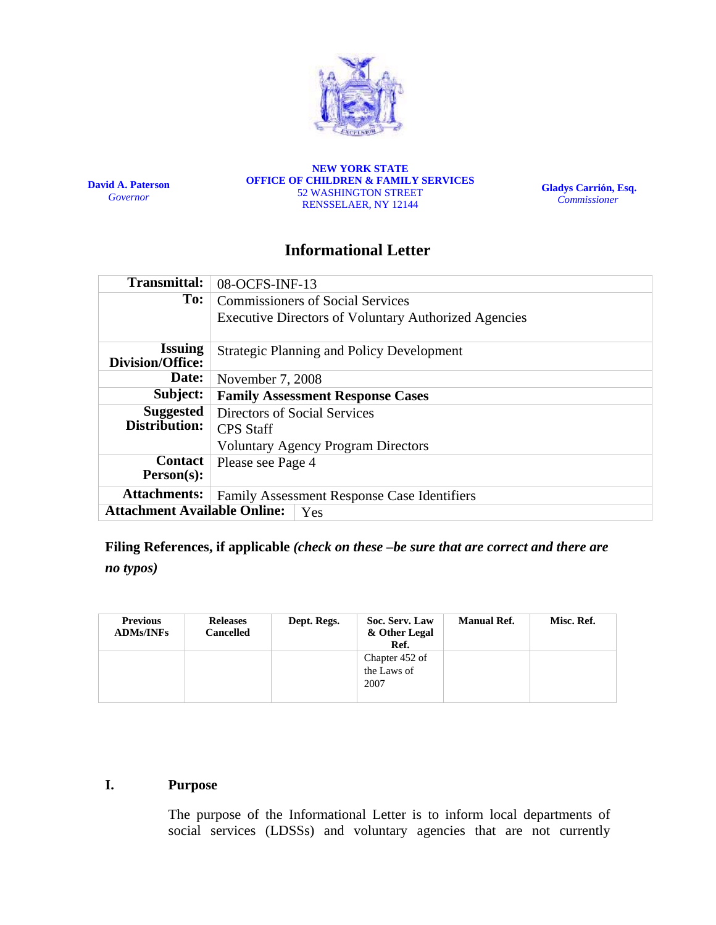

**David A. Paterson**  *Governor*

**NEW YORK STATE OFFICE OF CHILDREN & FAMILY SERVICES**  52 WASHINGTON STREET RENSSELAER, NY 12144

**Gladys Carrión, Esq.**   *Commissioner*

# **Informational Letter**

| <b>Transmittal:</b>                              | 08-OCFS-INF-13                                              |  |  |  |  |  |
|--------------------------------------------------|-------------------------------------------------------------|--|--|--|--|--|
| To:                                              | <b>Commissioners of Social Services</b>                     |  |  |  |  |  |
|                                                  | <b>Executive Directors of Voluntary Authorized Agencies</b> |  |  |  |  |  |
| <b>Issuing</b><br><b>Division/Office:</b>        | <b>Strategic Planning and Policy Development</b>            |  |  |  |  |  |
| Date:                                            | November 7, 2008                                            |  |  |  |  |  |
| Subject:                                         | <b>Family Assessment Response Cases</b>                     |  |  |  |  |  |
| <b>Suggested</b><br>Directors of Social Services |                                                             |  |  |  |  |  |
| Distribution:                                    | <b>CPS</b> Staff                                            |  |  |  |  |  |
|                                                  | <b>Voluntary Agency Program Directors</b>                   |  |  |  |  |  |
| <b>Contact</b>                                   | Please see Page 4                                           |  |  |  |  |  |
| Person(s):                                       |                                                             |  |  |  |  |  |
| <b>Attachments:</b>                              | <b>Family Assessment Response Case Identifiers</b>          |  |  |  |  |  |
| <b>Attachment Available Online:</b><br>Yes       |                                                             |  |  |  |  |  |

**Filing References, if applicable** *(check on these –be sure that are correct and there are* 

*no typos)*

| <b>Previous</b><br><b>ADMs/INFs</b> | <b>Releases</b><br>Cancelled | Dept. Regs. | Soc. Serv. Law<br>& Other Legal<br>Ref. | <b>Manual Ref.</b> | Misc. Ref. |
|-------------------------------------|------------------------------|-------------|-----------------------------------------|--------------------|------------|
|                                     |                              |             | Chapter 452 of<br>the Laws of<br>2007   |                    |            |

## **I. Purpose**

The purpose of the Informational Letter is to inform local departments of social services (LDSSs) and voluntary agencies that are not currently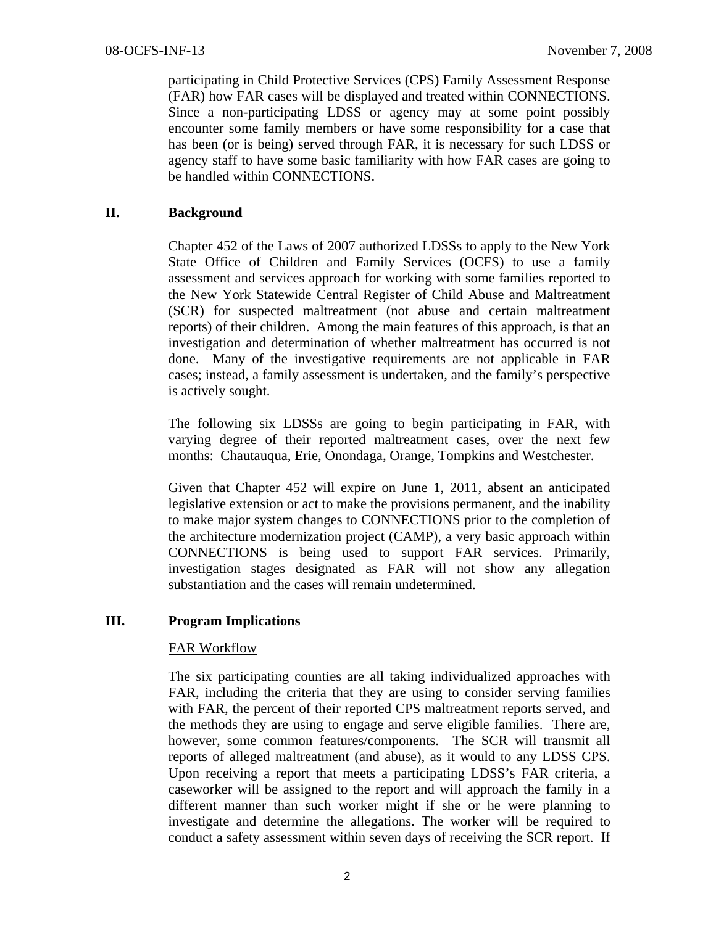participating in Child Protective Services (CPS) Family Assessment Response (FAR) how FAR cases will be displayed and treated within CONNECTIONS. Since a non-participating LDSS or agency may at some point possibly encounter some family members or have some responsibility for a case that has been (or is being) served through FAR, it is necessary for such LDSS or agency staff to have some basic familiarity with how FAR cases are going to be handled within CONNECTIONS.

## **II. Background**

Chapter 452 of the Laws of 2007 authorized LDSSs to apply to the New York State Office of Children and Family Services (OCFS) to use a family assessment and services approach for working with some families reported to the New York Statewide Central Register of Child Abuse and Maltreatment (SCR) for suspected maltreatment (not abuse and certain maltreatment reports) of their children. Among the main features of this approach, is that an investigation and determination of whether maltreatment has occurred is not done. Many of the investigative requirements are not applicable in FAR cases; instead, a family assessment is undertaken, and the family's perspective is actively sought.

The following six LDSSs are going to begin participating in FAR, with varying degree of their reported maltreatment cases, over the next few months: Chautauqua, Erie, Onondaga, Orange, Tompkins and Westchester.

Given that Chapter 452 will expire on June 1, 2011, absent an anticipated legislative extension or act to make the provisions permanent, and the inability to make major system changes to CONNECTIONS prior to the completion of the architecture modernization project (CAMP), a very basic approach within CONNECTIONS is being used to support FAR services. Primarily, investigation stages designated as FAR will not show any allegation substantiation and the cases will remain undetermined.

#### **III. Program Implications**

#### FAR Workflow

The six participating counties are all taking individualized approaches with FAR, including the criteria that they are using to consider serving families with FAR, the percent of their reported CPS maltreatment reports served, and the methods they are using to engage and serve eligible families. There are, however, some common features/components. The SCR will transmit all reports of alleged maltreatment (and abuse), as it would to any LDSS CPS. Upon receiving a report that meets a participating LDSS's FAR criteria, a caseworker will be assigned to the report and will approach the family in a different manner than such worker might if she or he were planning to investigate and determine the allegations. The worker will be required to conduct a safety assessment within seven days of receiving the SCR report. If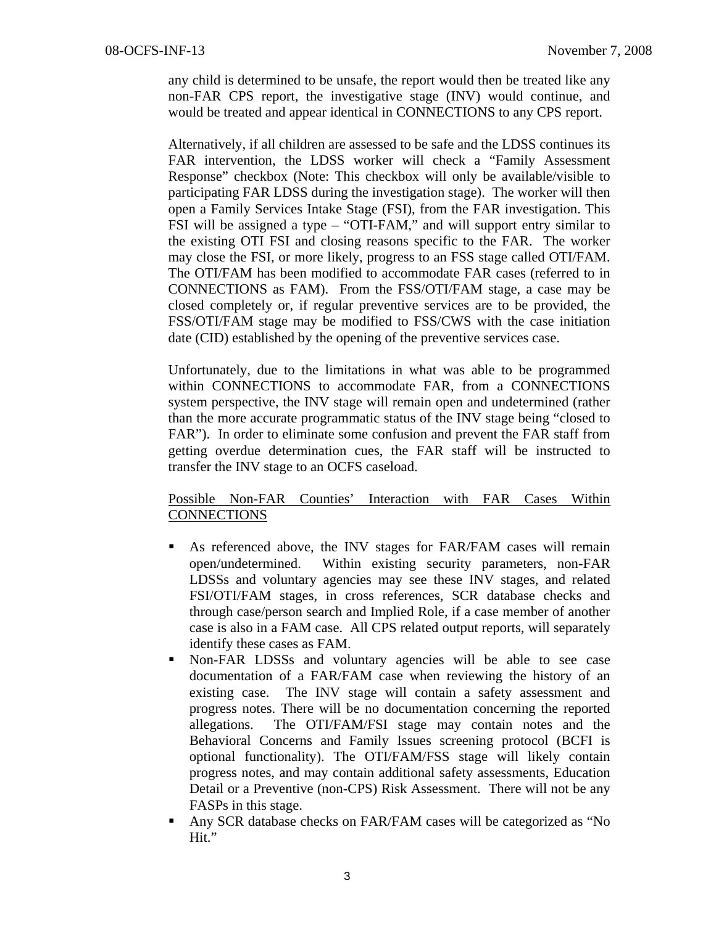any child is determined to be unsafe, the report would then be treated like any non-FAR CPS report, the investigative stage (INV) would continue, and would be treated and appear identical in CONNECTIONS to any CPS report.

Alternatively, if all children are assessed to be safe and the LDSS continues its FAR intervention, the LDSS worker will check a "Family Assessment Response" checkbox (Note: This checkbox will only be available/visible to participating FAR LDSS during the investigation stage). The worker will then open a Family Services Intake Stage (FSI), from the FAR investigation. This FSI will be assigned a type – "OTI-FAM," and will support entry similar to the existing OTI FSI and closing reasons specific to the FAR. The worker may close the FSI, or more likely, progress to an FSS stage called OTI/FAM. The OTI/FAM has been modified to accommodate FAR cases (referred to in CONNECTIONS as FAM). From the FSS/OTI/FAM stage, a case may be closed completely or, if regular preventive services are to be provided, the FSS/OTI/FAM stage may be modified to FSS/CWS with the case initiation date (CID) established by the opening of the preventive services case.

Unfortunately, due to the limitations in what was able to be programmed within CONNECTIONS to accommodate FAR, from a CONNECTIONS system perspective, the INV stage will remain open and undetermined (rather than the more accurate programmatic status of the INV stage being "closed to FAR"). In order to eliminate some confusion and prevent the FAR staff from getting overdue determination cues, the FAR staff will be instructed to transfer the INV stage to an OCFS caseload.

#### Possible Non-FAR Counties' Interaction with FAR Cases Within **CONNECTIONS**

- As referenced above, the INV stages for FAR/FAM cases will remain open/undetermined. Within existing security parameters, non-FAR LDSSs and voluntary agencies may see these INV stages, and related FSI/OTI/FAM stages, in cross references, SCR database checks and through case/person search and Implied Role, if a case member of another case is also in a FAM case. All CPS related output reports, will separately identify these cases as FAM.
- Non-FAR LDSSs and voluntary agencies will be able to see case documentation of a FAR/FAM case when reviewing the history of an existing case. The INV stage will contain a safety assessment and progress notes. There will be no documentation concerning the reported allegations. The OTI/FAM/FSI stage may contain notes and the Behavioral Concerns and Family Issues screening protocol (BCFI is optional functionality). The OTI/FAM/FSS stage will likely contain progress notes, and may contain additional safety assessments, Education Detail or a Preventive (non-CPS) Risk Assessment. There will not be any FASPs in this stage.
- Any SCR database checks on FAR/FAM cases will be categorized as "No Hit."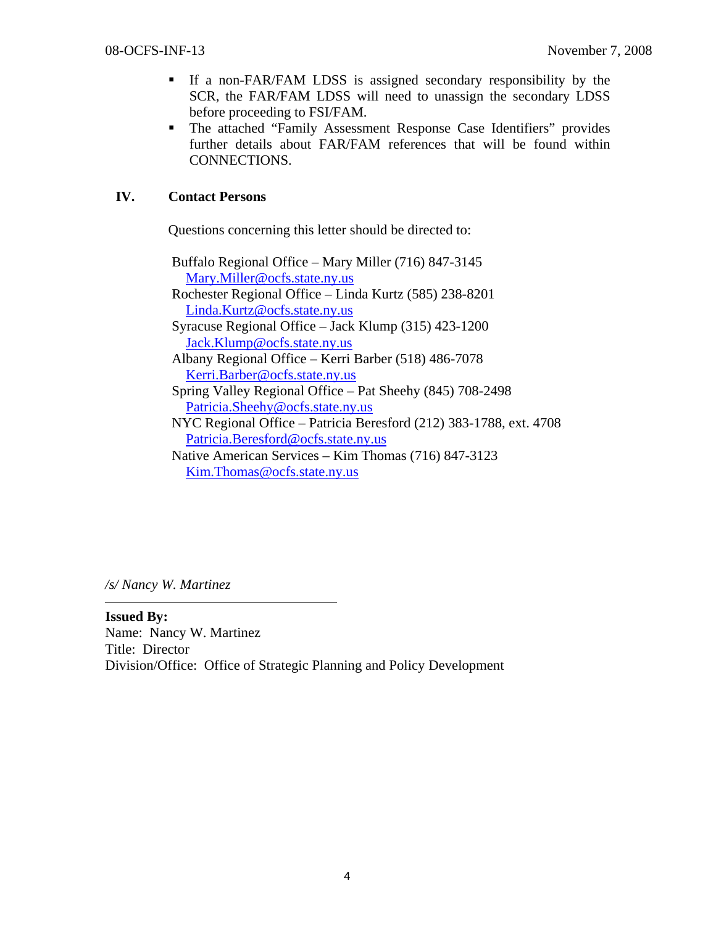- If a non-FAR/FAM LDSS is assigned secondary responsibility by the SCR, the FAR/FAM LDSS will need to unassign the secondary LDSS before proceeding to FSI/FAM.
- The attached "Family Assessment Response Case Identifiers" provides further details about FAR/FAM references that will be found within CONNECTIONS.

## **IV. Contact Persons**

Questions concerning this letter should be directed to:

 Buffalo Regional Office – Mary Miller (716) 847-3145 Mary.Miller@ocfs.state.ny.us Rochester Regional Office – Linda Kurtz (585) 238-8201 Linda.Kurtz@ocfs.state.ny.us Syracuse Regional Office – Jack Klump (315) 423-1200 Jack.Klump@ocfs.state.ny.us Albany Regional Office – Kerri Barber (518) 486-7078 Kerri.Barber@ocfs.state.ny.us Spring Valley Regional Office – Pat Sheehy (845) 708-2498 Patricia.Sheehy@ocfs.state.ny.us NYC Regional Office – Patricia Beresford (212) 383-1788, ext. 4708 Patricia.Beresford@ocfs.state.ny.us Native American Services – Kim Thomas (716) 847-3123 Kim.Thomas@ocfs.state.ny.us

*/s/ Nancy W. Martinez* 

**Issued By:**  Name: Nancy W. Martinez Title: Director Division/Office: Office of Strategic Planning and Policy Development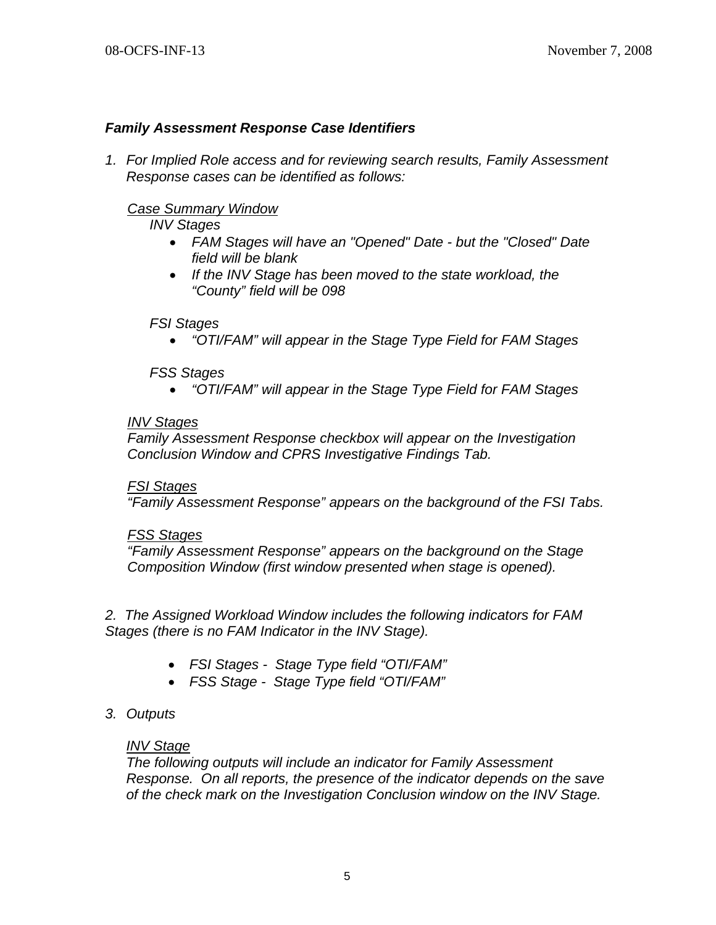## *Family Assessment Response Case Identifiers*

*1. For Implied Role access and for reviewing search results, Family Assessment Response cases can be identified as follows:* 

## *Case Summary Window*

*INV Stages* 

- *FAM Stages will have an "Opened" Date but the "Closed" Date field will be blank*
- *If the INV Stage has been moved to the state workload, the "County" field will be 098*

#### *FSI Stages*

*"OTI/FAM" will appear in the Stage Type Field for FAM Stages* 

#### *FSS Stages*

*"OTI/FAM" will appear in the Stage Type Field for FAM Stages* 

#### *INV Stages*

*Family Assessment Response checkbox will appear on the Investigation Conclusion Window and CPRS Investigative Findings Tab.* 

#### *FSI Stages*

*"Family Assessment Response" appears on the background of the FSI Tabs.* 

#### *FSS Stages*

*"Family Assessment Response" appears on the background on the Stage Composition Window (first window presented when stage is opened).* 

*2. The Assigned Workload Window includes the following indicators for FAM Stages (there is no FAM Indicator in the INV Stage).* 

- *FSI Stages Stage Type field "OTI/FAM"*
- *FSS Stage Stage Type field "OTI/FAM"*

## *3. Outputs*

## *INV Stage*

*The following outputs will include an indicator for Family Assessment Response. On all reports, the presence of the indicator depends on the save of the check mark on the Investigation Conclusion window on the INV Stage.*